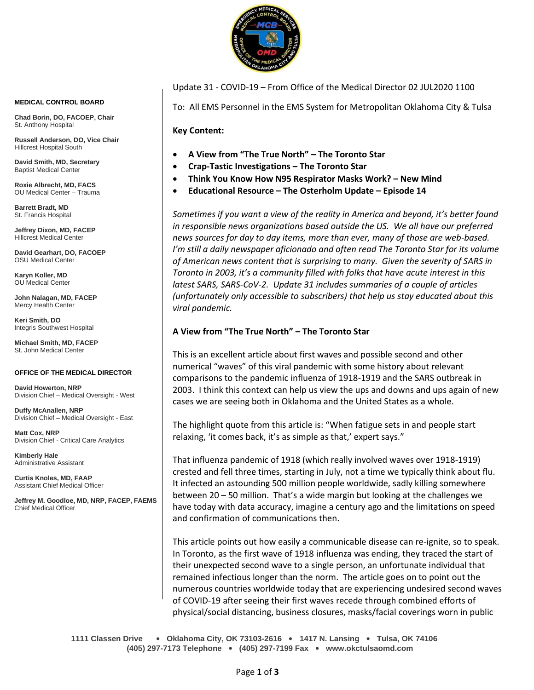

**MEDICAL CONTROL BOARD**

**Chad Borin, DO, FACOEP, Chair**  St. Anthony Hospital

**Russell Anderson, DO, Vice Chair** Hillcrest Hospital South

**David Smith, MD, Secretary** Baptist Medical Center

**Roxie Albrecht, MD, FACS** OU Medical Center – Trauma

**Barrett Bradt, MD** St. Francis Hospital

**Jeffrey Dixon, MD, FACEP** Hillcrest Medical Center

**David Gearhart, DO, FACOEP** OSU Medical Center

**Karyn Koller, MD** OU Medical Center

**John Nalagan, MD, FACEP** Mercy Health Center

**Keri Smith, DO** Integris Southwest Hospital

**Michael Smith, MD, FACEP** St. John Medical Center

#### **OFFICE OF THE MEDICAL DIRECTOR**

**David Howerton, NRP** Division Chief – Medical Oversight - West

**Duffy McAnallen, NRP** Division Chief – Medical Oversight - East

**Matt Cox, NRP** Division Chief - Critical Care Analytics

**Kimberly Hale** Administrative Assistant

**Curtis Knoles, MD, FAAP** Assistant Chief Medical Officer

**Jeffrey M. Goodloe, MD, NRP, FACEP, FAEMS** Chief Medical Officer

Update 31 - COVID-19 – From Office of the Medical Director 02 JUL2020 1100

To: All EMS Personnel in the EMS System for Metropolitan Oklahoma City & Tulsa

**Key Content:**

- **A View from "The True North" – The Toronto Star**
- **Crap-Tastic Investigations – The Toronto Star**
- **Think You Know How N95 Respirator Masks Work? – New Mind**
- **Educational Resource – The Osterholm Update – Episode 14**

*Sometimes if you want a view of the reality in America and beyond, it's better found in responsible news organizations based outside the US. We all have our preferred news sources for day to day items, more than ever, many of those are web-based. I'm still a daily newspaper aficionado and often read The Toronto Star for its volume of American news content that is surprising to many. Given the severity of SARS in Toronto in 2003, it's a community filled with folks that have acute interest in this latest SARS, SARS-CoV-2. Update 31 includes summaries of a couple of articles (unfortunately only accessible to subscribers) that help us stay educated about this viral pandemic.* 

## **A View from "The True North" – The Toronto Star**

This is an excellent article about first waves and possible second and other numerical "waves" of this viral pandemic with some history about relevant comparisons to the pandemic influenza of 1918-1919 and the SARS outbreak in 2003. I think this context can help us view the ups and downs and ups again of new cases we are seeing both in Oklahoma and the United States as a whole.

The highlight quote from this article is: "When fatigue sets in and people start relaxing, 'it comes back, it's as simple as that,' expert says."

That influenza pandemic of 1918 (which really involved waves over 1918-1919) crested and fell three times, starting in July, not a time we typically think about flu. It infected an astounding 500 million people worldwide, sadly killing somewhere between 20 – 50 million. That's a wide margin but looking at the challenges we have today with data accuracy, imagine a century ago and the limitations on speed and confirmation of communications then.

This article points out how easily a communicable disease can re-ignite, so to speak. In Toronto, as the first wave of 1918 influenza was ending, they traced the start of their unexpected second wave to a single person, an unfortunate individual that remained infectious longer than the norm. The article goes on to point out the numerous countries worldwide today that are experiencing undesired second waves of COVID-19 after seeing their first waves recede through combined efforts of physical/social distancing, business closures, masks/facial coverings worn in public

**1111 Classen Drive** • **Oklahoma City, OK 73103-2616** • **1417 N. Lansing** • **Tulsa, OK 74106 (405) 297-7173 Telephone** • **(405) 297-7199 Fax** • **www.okctulsaomd.com**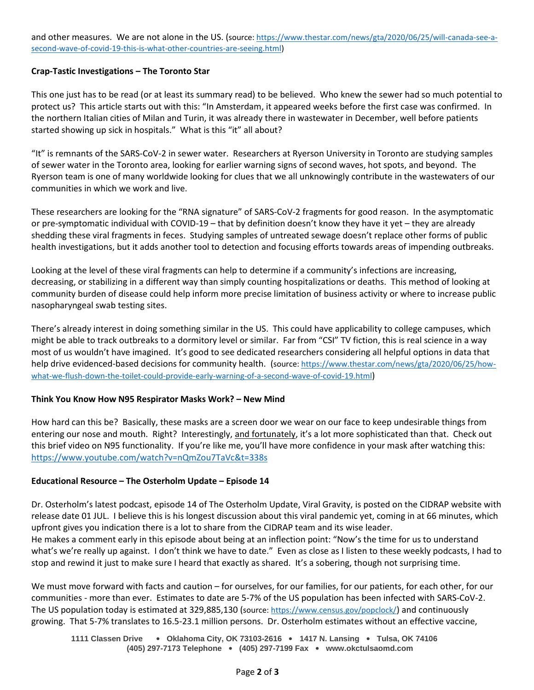and other measures. We are not alone in the US. (source: [https://www.thestar.com/news/gta/2020/06/25/will-canada-see-a](https://www.thestar.com/news/gta/2020/06/25/will-canada-see-a-second-wave-of-covid-19-this-is-what-other-countries-are-seeing.html)[second-wave-of-covid-19-this-is-what-other-countries-are-seeing.html\)](https://www.thestar.com/news/gta/2020/06/25/will-canada-see-a-second-wave-of-covid-19-this-is-what-other-countries-are-seeing.html)

# **Crap-Tastic Investigations – The Toronto Star**

This one just has to be read (or at least its summary read) to be believed. Who knew the sewer had so much potential to protect us? This article starts out with this: "In Amsterdam, it appeared weeks before the first case was confirmed. In the northern Italian cities of Milan and Turin, it was already there in wastewater in December, well before patients started showing up sick in hospitals." What is this "it" all about?

"It" is remnants of the SARS-CoV-2 in sewer water. Researchers at Ryerson University in Toronto are studying samples of sewer water in the Toronto area, looking for earlier warning signs of second waves, hot spots, and beyond. The Ryerson team is one of many worldwide looking for clues that we all unknowingly contribute in the wastewaters of our communities in which we work and live.

These researchers are looking for the "RNA signature" of SARS-CoV-2 fragments for good reason. In the asymptomatic or pre-symptomatic individual with COVID-19 – that by definition doesn't know they have it yet – they are already shedding these viral fragments in feces. Studying samples of untreated sewage doesn't replace other forms of public health investigations, but it adds another tool to detection and focusing efforts towards areas of impending outbreaks.

Looking at the level of these viral fragments can help to determine if a community's infections are increasing, decreasing, or stabilizing in a different way than simply counting hospitalizations or deaths. This method of looking at community burden of disease could help inform more precise limitation of business activity or where to increase public nasopharyngeal swab testing sites.

There's already interest in doing something similar in the US. This could have applicability to college campuses, which might be able to track outbreaks to a dormitory level or similar. Far from "CSI" TV fiction, this is real science in a way most of us wouldn't have imagined. It's good to see dedicated researchers considering all helpful options in data that help drive evidenced-based decisions for community health. (source[: https://www.thestar.com/news/gta/2020/06/25/how](https://www.thestar.com/news/gta/2020/06/25/how-what-we-flush-down-the-toilet-could-provide-early-warning-of-a-second-wave-of-covid-19.html)[what-we-flush-down-the-toilet-could-provide-early-warning-of-a-second-wave-of-covid-19.html](https://www.thestar.com/news/gta/2020/06/25/how-what-we-flush-down-the-toilet-could-provide-early-warning-of-a-second-wave-of-covid-19.html))

## **Think You Know How N95 Respirator Masks Work? – New Mind**

How hard can this be? Basically, these masks are a screen door we wear on our face to keep undesirable things from entering our nose and mouth. Right? Interestingly, and fortunately, it's a lot more sophisticated than that. Check out this brief video on N95 functionality. If you're like me, you'll have more confidence in your mask after watching this: <https://www.youtube.com/watch?v=nQmZou7TaVc&t=338s>

## **Educational Resource – The Osterholm Update – Episode 14**

Dr. Osterholm's latest podcast, episode 14 of The Osterholm Update, Viral Gravity, is posted on the CIDRAP website with release date 01 JUL. I believe this is his longest discussion about this viral pandemic yet, coming in at 66 minutes, which upfront gives you indication there is a lot to share from the CIDRAP team and its wise leader.

He makes a comment early in this episode about being at an inflection point: "Now's the time for us to understand what's we're really up against. I don't think we have to date." Even as close as I listen to these weekly podcasts, I had to stop and rewind it just to make sure I heard that exactly as shared. It's a sobering, though not surprising time.

We must move forward with facts and caution – for ourselves, for our families, for our patients, for each other, for our communities - more than ever. Estimates to date are 5-7% of the US population has been infected with SARS-CoV-2. The US population today is estimated at 329,885,130 (source[: https://www.census.gov/popclock/](https://www.census.gov/popclock/)) and continuously growing. That 5-7% translates to 16.5-23.1 million persons. Dr. Osterholm estimates without an effective vaccine,

**1111 Classen Drive** • **Oklahoma City, OK 73103-2616** • **1417 N. Lansing** • **Tulsa, OK 74106 (405) 297-7173 Telephone** • **(405) 297-7199 Fax** • **www.okctulsaomd.com**